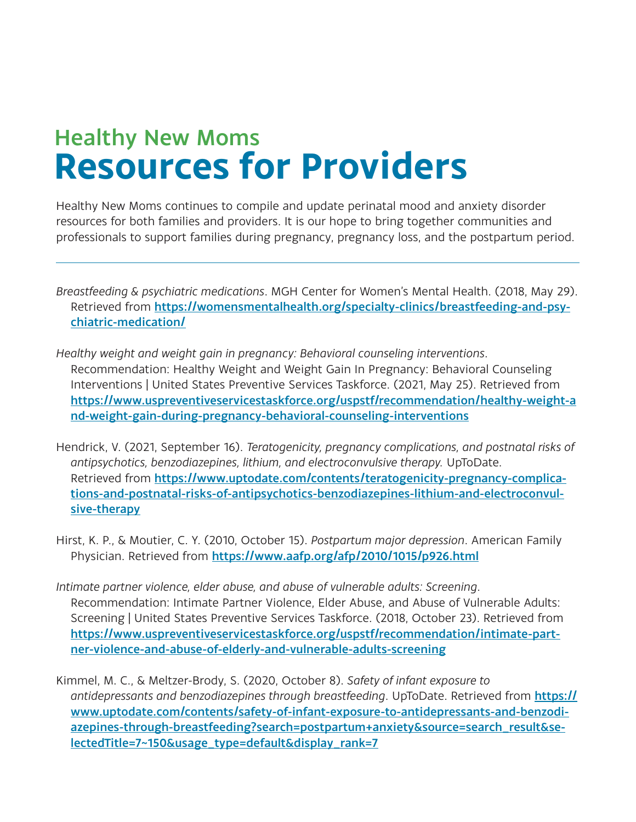## Healthy New Moms **Resources for Providers**

Healthy New Moms continues to compile and update perinatal mood and anxiety disorder resources for both families and providers. It is our hope to bring together communities and professionals to support families during pregnancy, pregnancy loss, and the postpartum period.

- *Breastfeeding & psychiatric medications*. MGH Center for Women's Mental Health. (2018, May 29). Retrieved from https://womensmentalhealth.org/specialty-clinics/breastfeeding-and-psychiatric-medication/
- *Healthy weight and weight gain in pregnancy: Behavioral counseling interventions*. Recommendation: Healthy Weight and Weight Gain In Pregnancy: Behavioral Counseling Interventions | United States Preventive Services Taskforce. (2021, May 25). Retrieved from https://www.uspreventiveservicestaskforce.org/uspstf/recommendation/healthy-weight-a nd-weight-gain-during-pregnancy-behavioral-counseling-interventions
- Hendrick, V. (2021, September 16). *Teratogenicity, pregnancy complications, and postnatal risks of antipsychotics, benzodiazepines, lithium, and electroconvulsive therapy.* UpToDate. Retrieved from https://www.uptodate.com/contents/teratogenicity-pregnancy-complications-and-postnatal-risks-of-antipsychotics-benzodiazepines-lithium-and-electroconvulsive-therapy
- Hirst, K. P., & Moutier, C. Y. (2010, October 15). *Postpartum major depression*. American Family Physician. Retrieved from https://www.aafp.org/afp/2010/1015/p926.html
- *Intimate partner violence, elder abuse, and abuse of vulnerable adults: Screening*. Recommendation: Intimate Partner Violence, Elder Abuse, and Abuse of Vulnerable Adults: Screening | United States Preventive Services Taskforce. (2018, October 23). Retrieved from https://www.uspreventiveservicestaskforce.org/uspstf/recommendation/intimate-partner-violence-and-abuse-of-elderly-and-vulnerable-adults-screening
- Kimmel, M. C., & Meltzer-Brody, S. (2020, October 8). *Safety of infant exposure to*  antidepressants and benzodiazepines through breastfeeding. UpToDate. Retrieved from **https://** www.uptodate.com/contents/safety-of-infant-exposure-to-antidepressants-and-benzodiazepines-through-breastfeeding?search=postpartum+anxiety&source=search\_result&selectedTitle=7~150&usage\_type=default&display\_rank=7